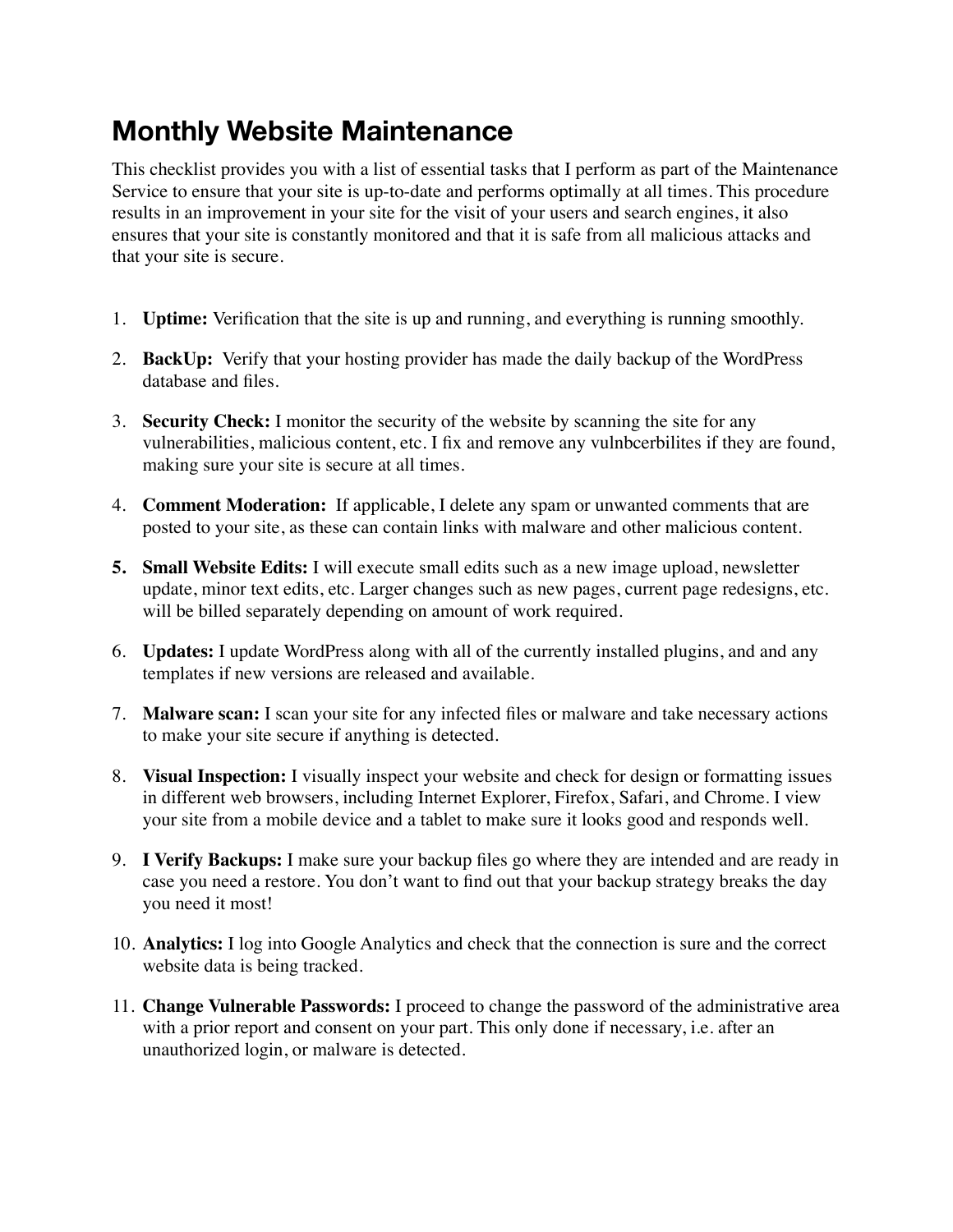## **Monthly Website Maintenance**

This checklist provides you with a list of essential tasks that I perform as part of the Maintenance Service to ensure that your site is up-to-date and performs optimally at all times. This procedure results in an improvement in your site for the visit of your users and search engines, it also ensures that your site is constantly monitored and that it is safe from all malicious attacks and that your site is secure.

- 1. **Uptime:** Verification that the site is up and running, and everything is running smoothly.
- 2. **BackUp:** Verify that your hosting provider has made the daily backup of the WordPress database and files.
- 3. **Security Check:** I monitor the security of the website by scanning the site for any vulnerabilities, malicious content, etc. I fix and remove any vulnbcerbilites if they are found, making sure your site is secure at all times.
- 4. **Comment Moderation:** If applicable, I delete any spam or unwanted comments that are posted to your site, as these can contain links with malware and other malicious content.
- **5. Small Website Edits:** I will execute small edits such as a new image upload, newsletter update, minor text edits, etc. Larger changes such as new pages, current page redesigns, etc. will be billed separately depending on amount of work required.
- 6. **Updates:** I update WordPress along with all of the currently installed plugins, and and any templates if new versions are released and available.
- 7. **Malware scan:** I scan your site for any infected files or malware and take necessary actions to make your site secure if anything is detected.
- 8. **Visual Inspection:** I visually inspect your website and check for design or formatting issues in different web browsers, including Internet Explorer, Firefox, Safari, and Chrome. I view your site from a mobile device and a tablet to make sure it looks good and responds well.
- 9. **I Verify Backups:** I make sure your backup files go where they are intended and are ready in case you need a restore. You don't want to find out that your backup strategy breaks the day you need it most!
- 10. **Analytics:** I log into Google Analytics and check that the connection is sure and the correct website data is being tracked.
- 11. **Change Vulnerable Passwords:** I proceed to change the password of the administrative area with a prior report and consent on your part. This only done if necessary, i.e. after an unauthorized login, or malware is detected.